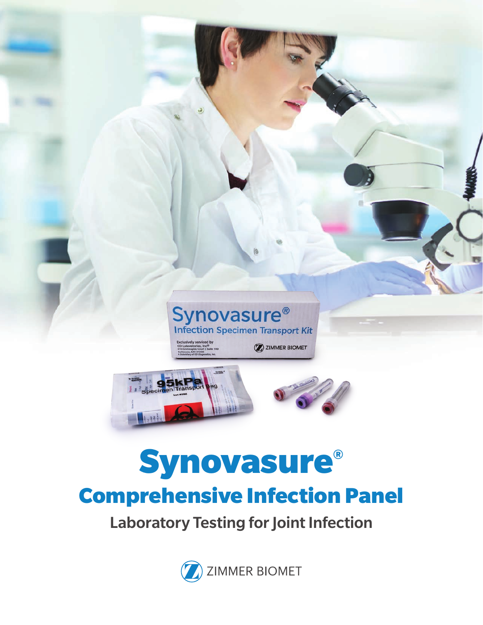

Laboratory Testing for Joint Infection

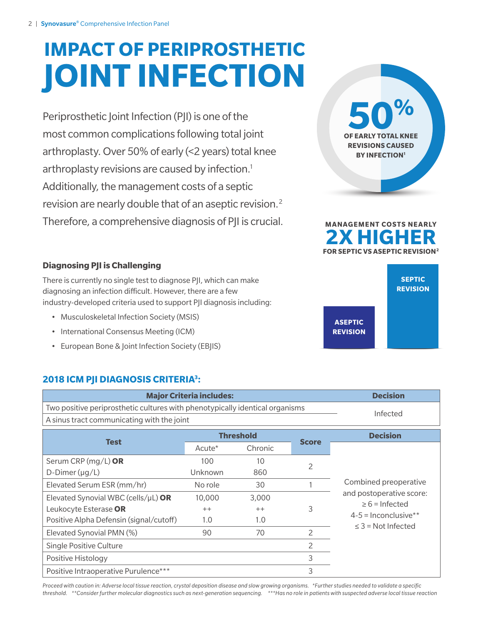# **IMPACT OF PERIPROSTHETIC JOINT INFECTION**

Periprosthetic Joint Infection (PJI) is one of the most common complications following total joint arthroplasty. Over 50% of early (<2 years) total knee arthroplasty revisions are caused by infection.<sup>1</sup> Additionally, the management costs of a septic revision are nearly double that of an aseptic revision.2 Therefore, a comprehensive diagnosis of PJI is crucial.





#### **Diagnosing PJI is Challenging**

There is currently no single test to diagnose PJI, which can make diagnosing an infection difficult. However, there are a few industry-developed criteria used to support PJI diagnosis including:

- Musculoskeletal Infection Society (MSIS)
- International Consensus Meeting (ICM)
- European Bone & Joint Infection Society (EBJIS)

#### **2018 ICM PJI DIAGNOSIS CRITERIA3 :**

| <b>Major Criteria includes:</b>                                              | <b>Decision</b> |  |
|------------------------------------------------------------------------------|-----------------|--|
| Two positive periprosthetic cultures with phenotypically identical organisms | Infected        |  |
| A sinus tract communicating with the joint                                   |                 |  |

| <b>Test</b>                               | <b>Threshold</b>   |         | <b>Score</b>   | <b>Decision</b>                                |
|-------------------------------------------|--------------------|---------|----------------|------------------------------------------------|
|                                           | Acute <sup>*</sup> | Chronic |                |                                                |
| Serum CRP (mg/L) OR                       | 100                | 10      |                |                                                |
| D-Dimer $(\mu g/L)$                       | Unknown            | 860     | 2              |                                                |
| Elevated Serum ESR (mm/hr)                | No role            | 30      |                | Combined preoperative                          |
| Elevated Synovial WBC (cells/ $\mu$ L) OR | 10,000             | 3,000   |                | and postoperative score:                       |
| Leukocyte Esterase OR                     | $++$               | $++$    | 3              | $\geq 6$ = Infected                            |
| Positive Alpha Defensin (signal/cutoff)   | 1.0                | 1.0     |                | $4-5$ = Inconclusive**<br>$<$ 3 = Not Infected |
| Elevated Synovial PMN (%)                 | 90                 | 70      | $\overline{2}$ |                                                |
| <b>Single Positive Culture</b>            |                    |         | $\overline{2}$ |                                                |
| Positive Histology                        |                    |         | 3              |                                                |
| Positive Intraoperative Purulence***      |                    |         | 3              |                                                |

*Proceed with caution in: Adverse local tissue reaction, crystal deposition disease and slow growing organisms. \*Further studies needed to validate a specific threshold. \*\*Consider further molecular diagnostics such as next-generation sequencing. \*\*\*Has no role in patients with suspected adverse local tissue reaction*

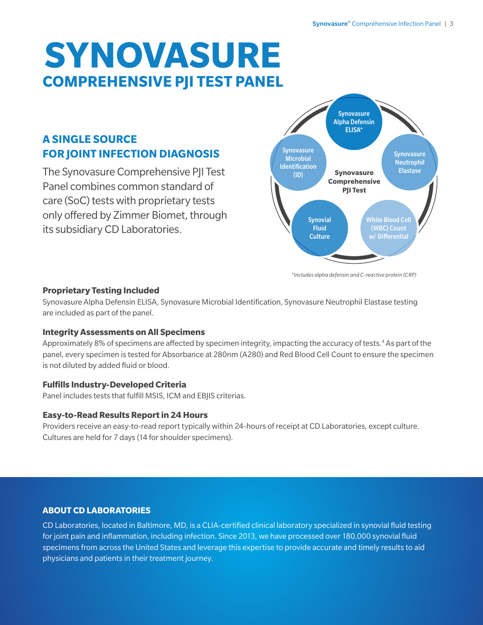## **SYNOVASURE COMPREHENSIVE PJI TEST PANEL**

### **A SINGLE SOURCE FOR JOINT INFECTION DIAGNOSIS**

The Synovasure Comprehensive PJI Test Panel combines common standard of care (SoC) tests with proprietary tests only offered by Zimmer Biomet, through its subsidiary CD Laboratories.



*\*Includes alpha defensin and C-reactive protein (CRP)*

#### **Proprietary Testing Included**

Synovasure Alpha Defensin ELISA, Synovasure Microbial Identification, Synovasure Neutrophil Elastase testing are included as part of the panel.

#### **Integrity Assessments on All Specimens**

Approximately 8% of specimens are affected by specimen integrity, impacting the accuracy of tests.<sup>4</sup> As part of the panel, every specimen is tested for Absorbance at 280nm (A280) and Red Blood Cell Count to ensure the specimen is not diluted by added fluid or blood.

#### **Fulfills Industry-Developed Criteria**

Panel includes tests that fulfill MSIS, ICM and EBJIS criterias.

#### **Easy-to-Read Results Report in 24 Hours**

Providers receive an easy-to-read report typically within 24-hours of receipt at CD Laboratories, except culture. Cultures are held for 7 days (14 for shoulder specimens).

#### **ABOUT CD LABORATORIES**

CD Laboratories, located in Baltimore, MD, is a CLIA-certified clinical laboratory specialized in synovial fluid testing for joint pain and inflammation, including infection. Since 2013, we have processed over 180,000 synovial fluid specimens from across the United States and leverage this expertise to provide accurate and timely results to aid physicians and patients in their treatment journey.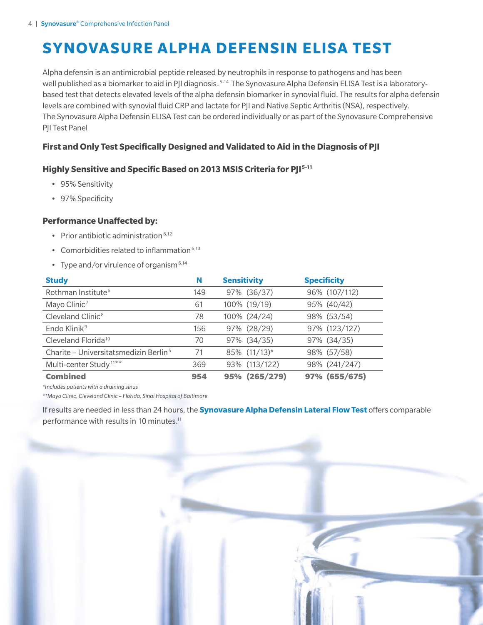### **SYNOVASURE ALPHA DEFENSIN ELISA TEST**

Alpha defensin is an antimicrobial peptide released by neutrophils in response to pathogens and has been well published as a biomarker to aid in PJI diagnosis.<sup>5-14</sup> The Synovasure Alpha Defensin ELISA Test is a laboratorybased test that detects elevated levels of the alpha defensin biomarker in synovial fluid. The results for alpha defensin levels are combined with synovial fluid CRP and lactate for PJI and Native Septic Arthritis (NSA), respectively. The Synovasure Alpha Defensin ELISA Test can be ordered individually or as part of the Synovasure Comprehensive PJI Test Panel

#### **First and Only Test Specifically Designed and Validated to Aid in the Diagnosis of PJI**

#### **Highly Sensitive and Specific Based on 2013 MSIS Criteria for PJI5-11**

- 95% Sensitivity
- 97% Specificity

#### **Performance Unaffected by:**

- Prior antibiotic administration  $6,12$
- Comorbidities related to inflammation $6,13$
- Type and/or virulence of organism  $6,14$

| <b>Study</b>                                      | N   | <b>Sensitivity</b> | <b>Specificity</b> |
|---------------------------------------------------|-----|--------------------|--------------------|
| Rothman Institute <sup>6</sup>                    | 149 | 97% (36/37)        | 96% (107/112)      |
| Mayo Clinic <sup>7</sup>                          | 61  | 100% (19/19)       | 95% (40/42)        |
| Cleveland Clinic <sup>8</sup>                     | 78  | 100% (24/24)       | 98% (53/54)        |
| Endo Klinik <sup>9</sup>                          | 156 | 97% (28/29)        | 97% (123/127)      |
| Cleveland Florida <sup>10</sup>                   | 70  | 97% (34/35)        | 97% (34/35)        |
| Charite – Universitatsmedizin Berlin <sup>5</sup> | 71  | 85% (11/13)*       | 98% (57/58)        |
| Multi-center Study <sup>11**</sup>                | 369 | 93% (113/122)      | 98% (241/247)      |
| <b>Combined</b>                                   | 954 | 95% (265/279)      | 97% (655/675)      |

*\*Includes patients with a draining sinus*

*\*\*Mayo Clinic, Cleveland Clinic – Florida, Sinai Hospital of Baltimore*

If results are needed in less than 24 hours, the **Synovasure Alpha Defensin Lateral Flow Test** offers comparable performance with results in 10 minutes.<sup>11</sup>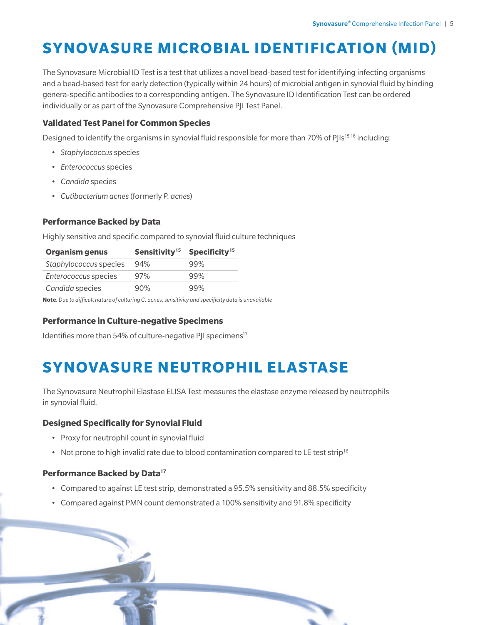## **SYNOVASURE MICROBIAL IDENTIFICATION (MID)**

The Synovasure Microbial ID Test is a test that utilizes a novel bead-based test for identifying infecting organisms and a bead-based test for early detection (typically within 24 hours) of microbial antigen in synovial fluid by binding genera-specific antibodies to a corresponding antigen. The Synovasure ID Identification Test can be ordered individually or as part of the Synovasure Comprehensive PJI Test Panel.

#### **Validated Test Panel for Common Species**

Designed to identify the organisms in synovial fluid responsible for more than 70% of PJIs<sup>15,16</sup> including:

- *Staphylococcus* species
- *Enterococcus* species
- *Candida* species
- *Cutibacterium acnes* (formerly *P. acnes*)

#### **Performance Backed by Data**

Highly sensitive and specific compared to synovial fluid culture techniques

| <b>Organism genus</b>  | Sensitivity <sup>15</sup> | Specificity <sup>15</sup> |
|------------------------|---------------------------|---------------------------|
| Staphylococcus species | 94%                       | 99%                       |
| Enterococcus species   | 97%                       | 99%                       |
| Candida species        | 90%                       | 99%                       |

**Note***: Due to difficult nature of culturing C. acnes, sensitivity and specificity data is unavailable*

#### **Performance in Culture-negative Specimens**

Identifies more than 54% of culture-negative PII specimens<sup>17</sup>

### **SYNOVASURE NEUTROPHIL ELASTASE**

The Synovasure Neutrophil Elastase ELISA Test measures the elastase enzyme released by neutrophils in synovial fluid.

#### **Designed Specifically for Synovial Fluid**

- Proxy for neutrophil count in synovial fluid
- Not prone to high invalid rate due to blood contamination compared to LE test strip<sup>16</sup>

#### **Performance Backed by Data17**

• Compared to against LE test strip, demonstrated a 95.5% sensitivity and 88.5% specificity

• Compared against PMN count demonstrated a 100% sensitivity and 91.8% specificity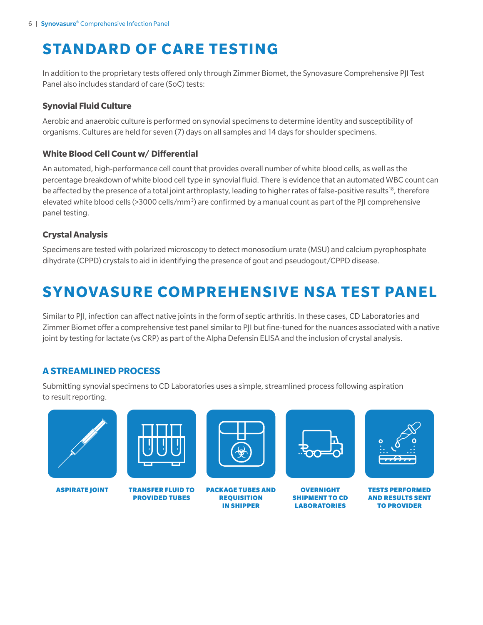## **STANDARD OF CARE TESTING**

In addition to the proprietary tests offered only through Zimmer Biomet, the Synovasure Comprehensive PJI Test Panel also includes standard of care (SoC) tests:

#### **Synovial Fluid Culture**

Aerobic and anaerobic culture is performed on synovial specimens to determine identity and susceptibility of organisms. Cultures are held for seven (7) days on all samples and 14 days for shoulder specimens.

#### **White Blood Cell Count w/ Differential**

An automated, high-performance cell count that provides overall number of white blood cells, as well as the percentage breakdown of white blood cell type in synovial fluid. There is evidence that an automated WBC count can be affected by the presence of a total joint arthroplasty, leading to higher rates of false-positive results<sup>18</sup>, therefore elevated white blood cells (>3000 cells/mm<sup>3</sup>) are confirmed by a manual count as part of the PJI comprehensive panel testing.

#### **Crystal Analysis**

Specimens are tested with polarized microscopy to detect monosodium urate (MSU) and calcium pyrophosphate dihydrate (CPPD) crystals to aid in identifying the presence of gout and pseudogout/CPPD disease.

### **SYNOVASURE COMPREHENSIVE NSA TEST PANEL**

Similar to PJI, infection can affect native joints in the form of septic arthritis. In these cases, CD Laboratories and Zimmer Biomet offer a comprehensive test panel similar to PJI but fine-tuned for the nuances associated with a native joint by testing for lactate (vs CRP) as part of the Alpha Defensin ELISA and the inclusion of crystal analysis.

#### **A STREAMLINED PROCESS**

Submitting synovial specimens to CD Laboratories uses a simple, streamlined process following aspiration to result reporting.





ASPIRATE JOINT TRANSFER FLUID TO PROVIDED TUBES



PACKAGE TUBES AND REQUISITION IN SHIPPER



**OVERNIGHT** SHIPMENT TO CD LABORATORIES



TESTS PERFORMED AND RESULTS SENT TO PROVIDER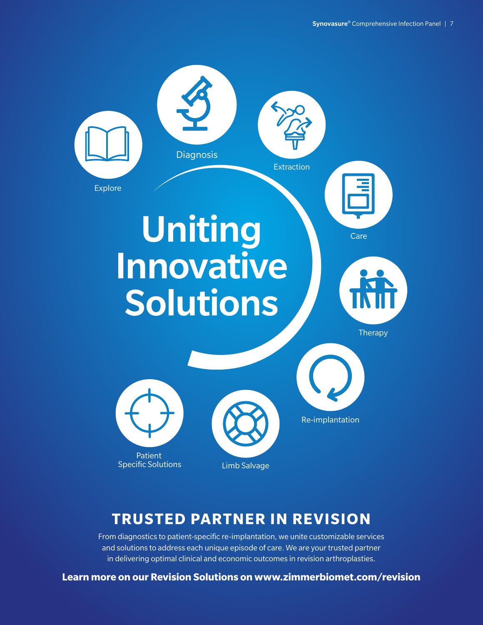

### **TRUSTED PARTNER IN REVISION**

From diagnostics to patient-specific re-implantation, we unite customizable services and solutions to address each unique episode of care. We are your trusted partner in delivering optimal clinical and economic outcomes in revision arthroplasties.

**Learn more on our Revision Solutions on www.zimmerbiomet.com/revision**